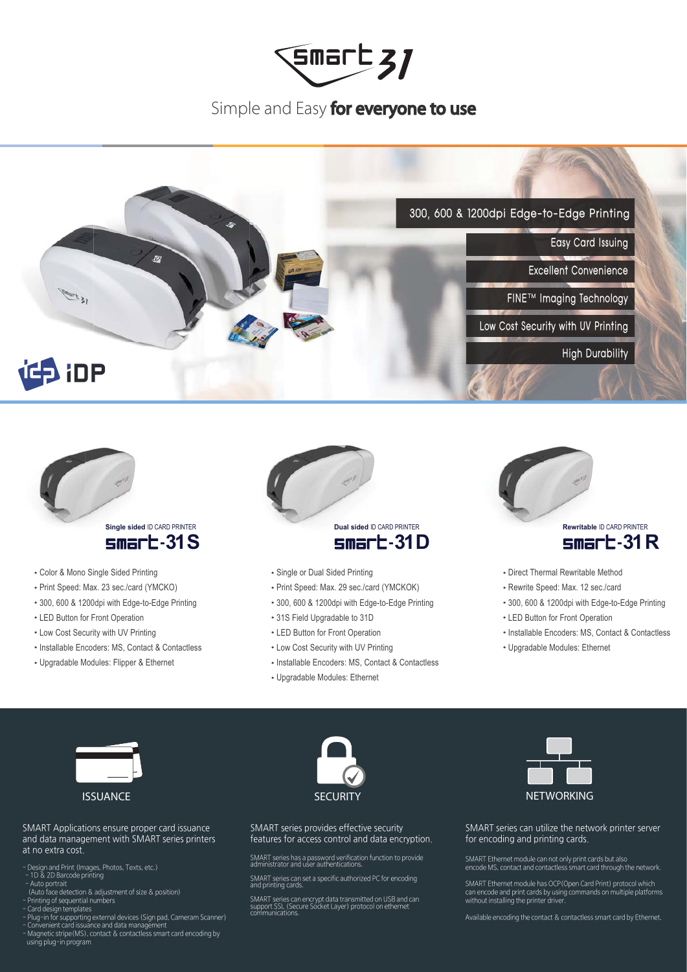

## Simple and Easy for everyone to use





### • Color & Mono Single Sided Printing

- Print Speed: Max. 23 sec./card (YMCKO)
- 300, 600 & 1200dpi with Edge-to-Edge Printing
- LED Button for Front Operation
- Low Cost Security with UV Printing
- · Installable Encoders: MS, Contact & Contactless
- Upgradable Modules: Flipper & Ethernet



- Single or Dual Sided Printing
- · Print Speed: Max. 29 sec./card (YMCKOK)
- 300, 600 & 1200dpi with Edge-to-Edge Printing
- 31S Field Upgradable to 31D
- LED Button for Front Operation
- Low Cost Security with UV Printing
- Installable Encoders: MS, Contact & Contactless
- Upgradable Modules: Ethernet



### $sm$ ar $E$ -31 $R$

- Direct Thermal Rewritable Method
- Rewrite Speed: Max. 12 sec./card
- 300, 600 & 1200dpi with Edge-to-Edge Printing
- LED Button for Front Operation
- Installable Encoders: MS, Contact & Contactless
- Upgradable Modules: Ethernet



#### SMART Applications ensure proper card issuance and data management with SMART series printers at no extra cost.

- Design and Print (Images, Photos, Texts, etc.)<br>- 1D & 2D Barcode printing
- 
- Auto portrait
- (Auto face detection & adjustment of size & position)<br>Printing of sequential numbers
- 
- 
- .<br>• Card design templates<br>• Plug-in for supporting external devices (Sign pad, Cameram Scanner)
- Nonvenient card issuance and data management<br>Magnetic stripe (MS), contact & contactless smart card encoding by<br>using plug-in program



SMART series provides effective security features for access control and data encryption.

SMART series has a password verification function to provide<br>administrator and user authentications.

SMART series can set a specific authorized PC for encoding<br>and printing cards.

SMART series can encrypt data transmitted on USB and can<br>support SSL (Secure Socket Layer) protocol on ethernet<br>communications.



SMART series can utilize the network printer server for encoding and printing cards.

SMART Ethernet module can not only print cards but also encode MS, contact and contactless smart card through the network.

SMART Ethernet module has OCP (Open Card Print) protocol which can encode and print cards by using commands on multiple platforms<br>without installing the printer driver.

Available encoding the contact & contactless smart card by Ethernet